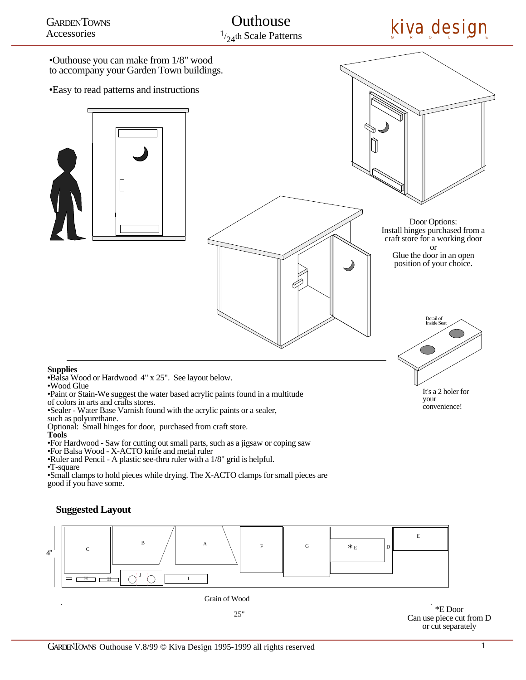•Outhouse you can make from 1/8" wood to accompany your Garden Town buildings.

•Easy to read patterns and instructions



Door Options: Install hinges purchased from a craft store for a working door or Glue the door in an open position of your choice.

# Detail of Inside Se

It's a 2 holer for your convenience!

### **Supplies**

•Wood Glue

•Paint or Stain-We suggest the water based acrylic paints found in a multitude of colors in arts and crafts stores.

•Sealer - Water Base Varnish found with the acrylic paints or a sealer,

such as polyurethane.

Optional: Small hinges for door, purchased from craft store.

**Tools**

•For Hardwood - Saw for cutting out small parts, such as a jigsaw or coping saw

•For Balsa Wood - X-ACTO knife and metal ruler

•Ruler and Pencil - A plastic see-thru ruler with a 1/8" grid is helpful.

#### •T-square

•Small clamps to hold pieces while drying. The X-ACTO clamps for small pieces are good if you have some.

## **Suggested Layout**



**<sup>•</sup>**Balsa Wood or Hardwood 4" x 25". See layout below.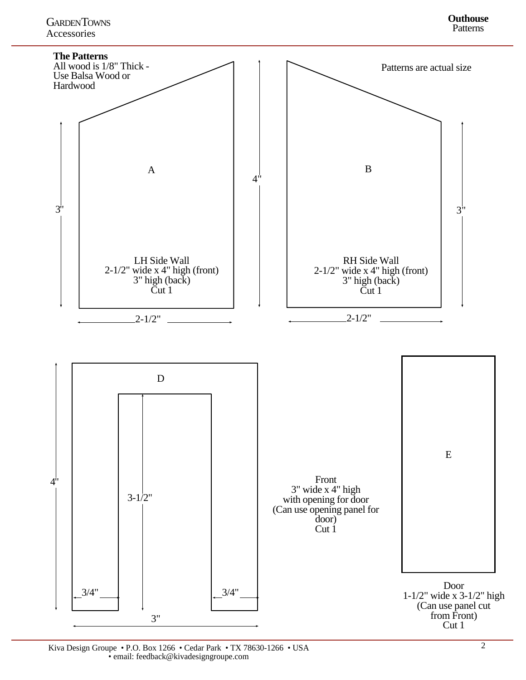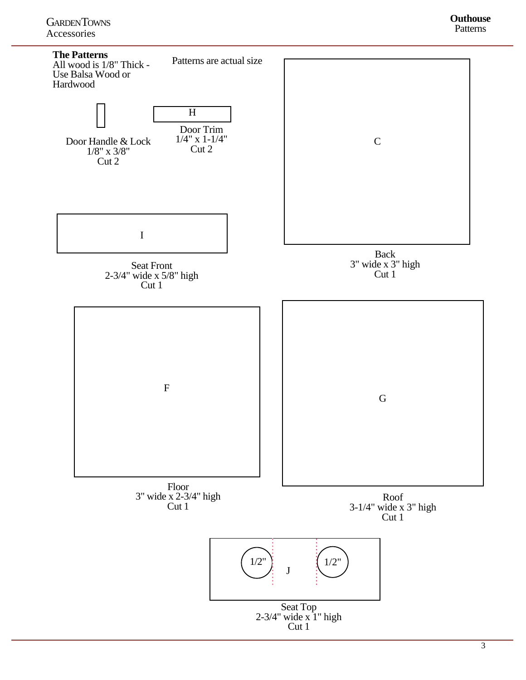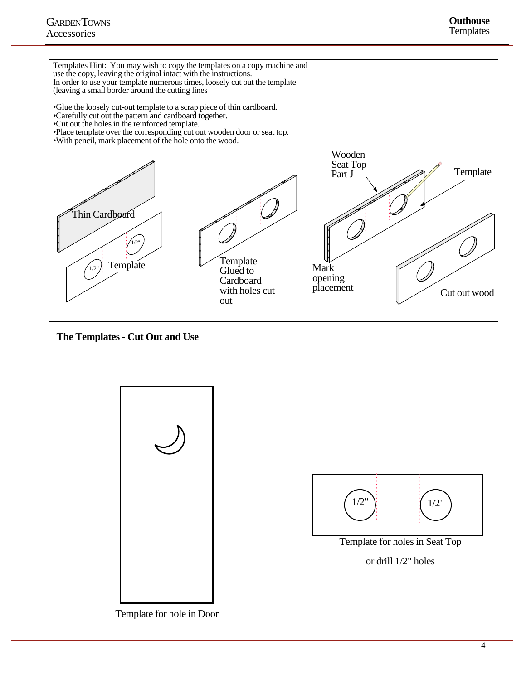

**The Templates - Cut Out and Use**



Template for hole in Door